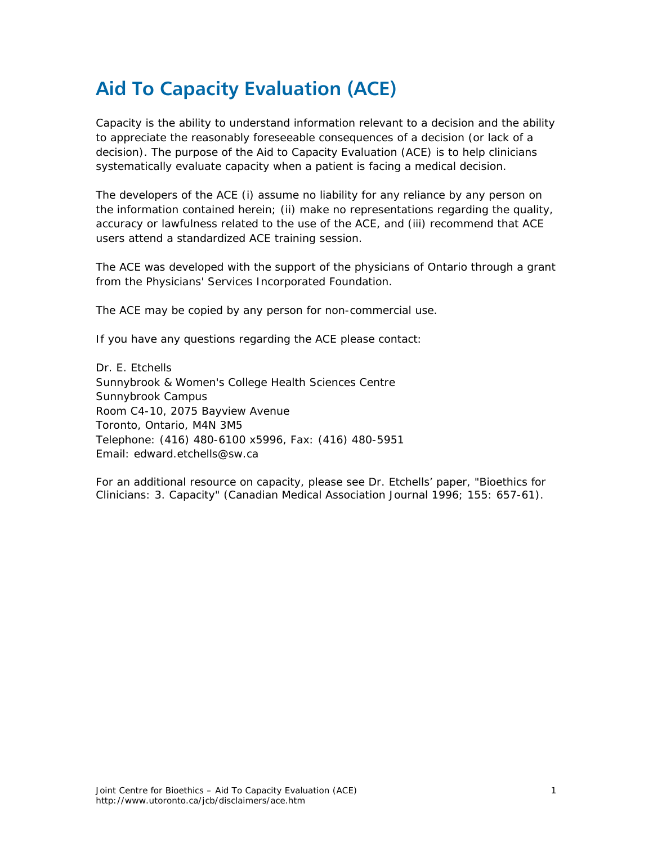## **Aid To Capacity Evaluation (ACE)**

Capacity is the ability to understand information relevant to a decision and the ability to appreciate the reasonably foreseeable consequences of a decision (or lack of a decision). The purpose of the Aid to Capacity Evaluation (ACE) is to help clinicians systematically evaluate capacity when a patient is facing a medical decision.

The developers of the ACE (i) assume no liability for any reliance by any person on the information contained herein; (ii) make no representations regarding the quality, accuracy or lawfulness related to the use of the ACE, and (iii) recommend that ACE users attend a standardized ACE training session.

The ACE was developed with the support of the physicians of Ontario through a grant from the Physicians' Services Incorporated Foundation.

The ACE may be copied by any person for non-commercial use.

*If you have any questions regarding the ACE please contact*:

Dr. E. Etchells Sunnybrook & Women's College Health Sciences Centre Sunnybrook Campus Room C4-10, 2075 Bayview Avenue Toronto, Ontario, M4N 3M5 Telephone: (416) 480-6100 x5996, Fax: (416) 480-5951 Email: edward.etchells@sw.ca

For an additional resource on capacity, please see Dr. Etchells' paper, "Bioethics for Clinicians: 3. Capacity" (*Canadian Medical Association Journal* 1996; 155: 657-61).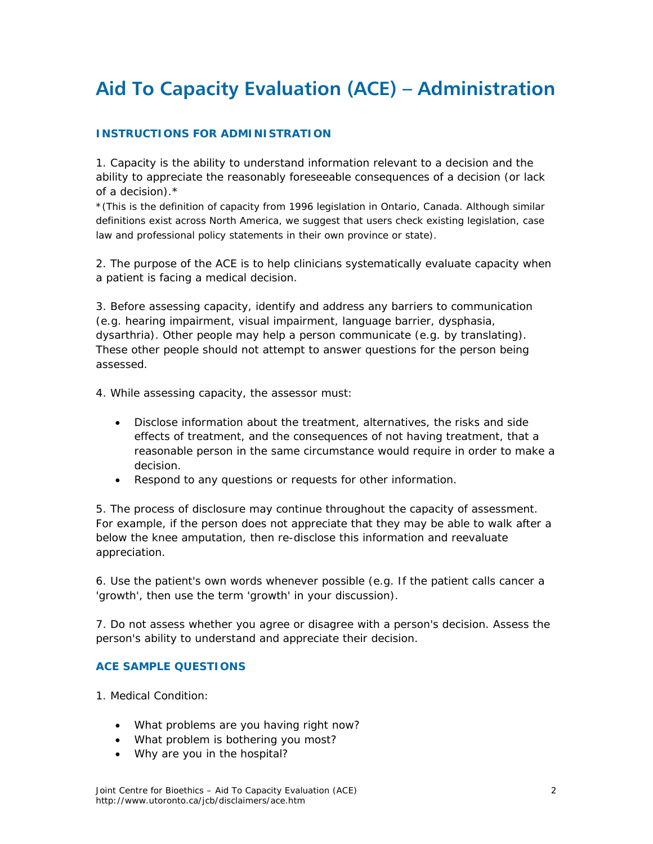# **Aid To Capacity Evaluation (ACE) – Administration**

### **INSTRUCTIONS FOR ADMINISTRATION**

1. Capacity is the ability to understand information relevant to a decision and the ability to appreciate the reasonably foreseeable consequences of a decision (or lack of a decision).\*

\*(This is the definition of capacity from 1996 legislation in Ontario, Canada. Although similar definitions exist across North America, we suggest that users check existing legislation, case law and professional policy statements in their own province or state).

2. The purpose of the ACE is to help clinicians systematically evaluate capacity when a patient is facing a medical decision.

3. Before assessing capacity, identify and address any barriers to communication (e.g. hearing impairment, visual impairment, language barrier, dysphasia, dysarthria). Other people may help a person communicate (e.g. by translating). These other people should not attempt to answer questions for the person being assessed.

4. While assessing capacity, the assessor must:

- Disclose information about the treatment, alternatives, the risks and side effects of treatment, and the consequences of not having treatment, that a reasonable person in the same circumstance would require in order to make a decision.
- Respond to any questions or requests for other information.

5. The process of disclosure may continue throughout the capacity of assessment. For example, if the person does not appreciate that they may be able to walk after a below the knee amputation, then re-disclose this information and reevaluate appreciation.

6. Use the patient's own words whenever possible (e.g. If the patient calls cancer a 'growth', then use the term 'growth' in your discussion).

7. Do not assess whether you agree or disagree with a person's decision. Assess the person's ability to understand and appreciate their decision.

#### **ACE SAMPLE QUESTIONS**

1. Medical Condition:

- What problems are you having right now?
- What problem is bothering you most?
- Why are you in the hospital?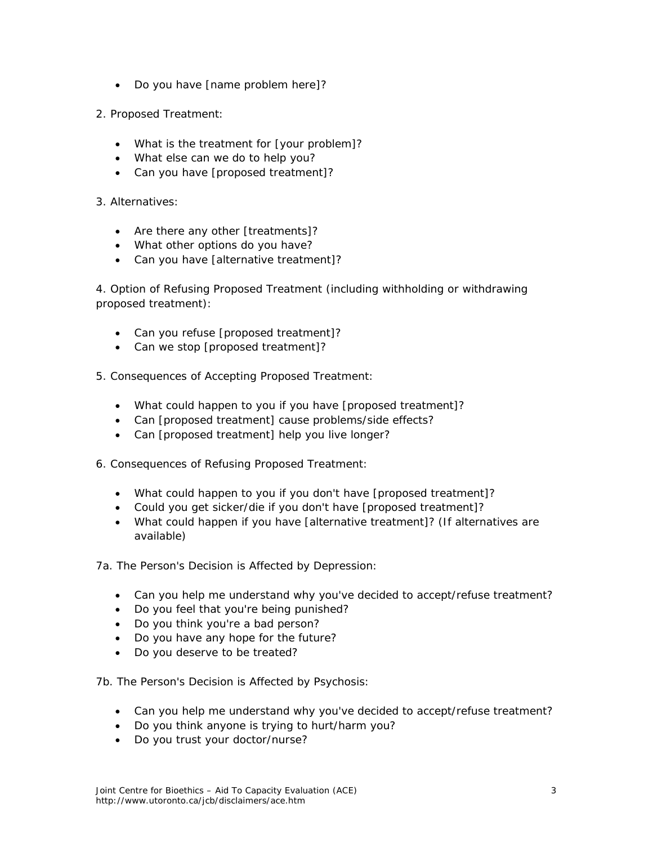- Do you have [name problem here]?
- 2. Proposed Treatment:
	- What is the treatment for [your problem]?
	- What else can we do to help you?
	- Can you have [proposed treatment]?
- 3. Alternatives:
	- Are there any other [treatments]?
	- What other options do you have?
	- Can you have [alternative treatment]?

4. Option of Refusing Proposed Treatment (including withholding or withdrawing proposed treatment):

- Can you refuse [proposed treatment]?
- Can we stop [proposed treatment]?

5. Consequences of Accepting Proposed Treatment:

- What could happen to you if you have [proposed treatment]?
- Can [proposed treatment] cause problems/side effects?
- Can [proposed treatment] help you live longer?
- 6. Consequences of Refusing Proposed Treatment:
	- What could happen to you if you don't have [proposed treatment]?
	- Could you get sicker/die if you don't have [proposed treatment]?
	- What could happen if you have [alternative treatment]? *(If alternatives are available)*

7a. The Person's Decision is Affected by Depression:

- Can you help me understand why you've decided to accept/refuse treatment?
- Do you feel that you're being punished?
- Do you think you're a bad person?
- Do you have any hope for the future?
- Do you deserve to be treated?

7b. The Person's Decision is Affected by Psychosis:

- Can you help me understand why you've decided to accept/refuse treatment?
- Do you think anyone is trying to hurt/harm you?
- Do you trust your doctor/nurse?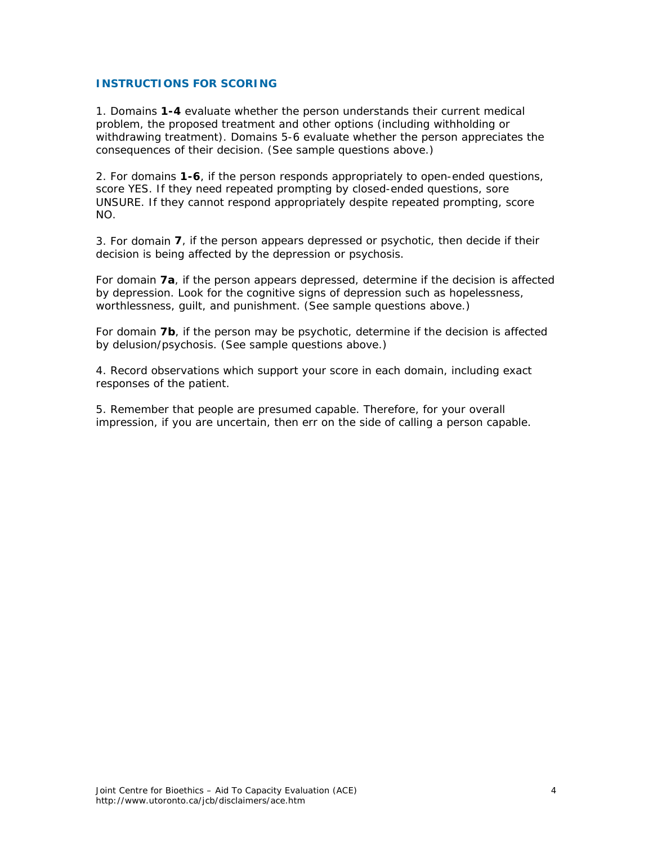#### **INSTRUCTIONS FOR SCORING**

1. Domains **1-4** evaluate whether the person understands their current medical problem, the proposed treatment and other options (including withholding or withdrawing treatment). Domains 5-6 evaluate whether the person appreciates the consequences of their decision. *(See sample questions above.)*

2. For domains **1-6**, if the person responds appropriately to open-ended questions, score YES. If they need repeated prompting by closed-ended questions, sore UNSURE. If they cannot respond appropriately despite repeated prompting, score NO.

3. For domain **7**, if the person appears depressed or psychotic, then decide if their decision is being affected by the depression or psychosis.

For domain **7a**, if the person appears depressed, determine if the decision is affected by depression. Look for the cognitive signs of depression such as hopelessness, worthlessness, guilt, and punishment. *(See sample questions above.)*

For domain **7b**, if the person may be psychotic, determine if the decision is affected by delusion/psychosis. *(See sample questions above.)*

4. Record observations which support your score in each domain, including exact responses of the patient.

5. Remember that people are presumed capable. Therefore, for your overall impression, if you are uncertain, then err on the side of calling a person capable.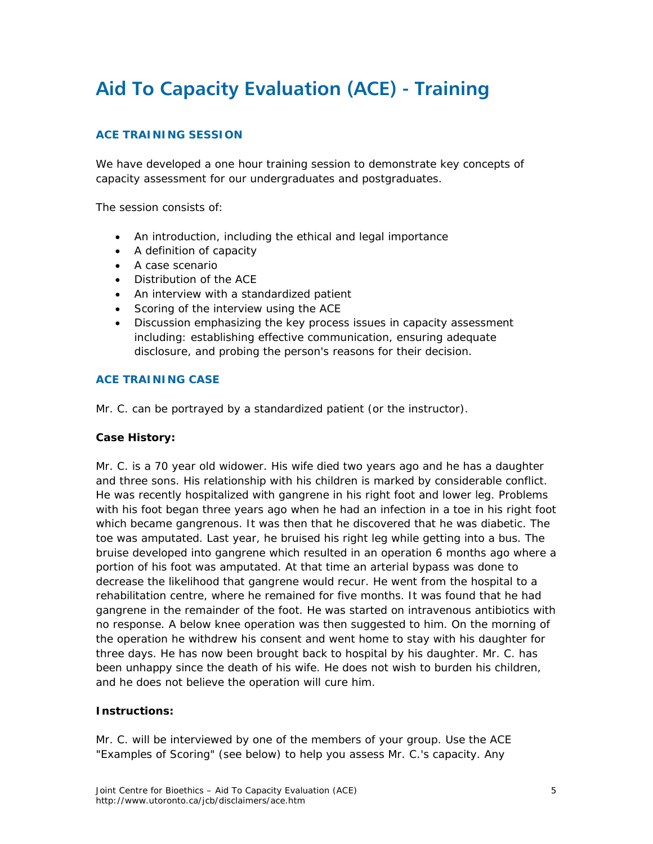# **Aid To Capacity Evaluation (ACE) - Training**

### **ACE TRAINING SESSION**

We have developed a one hour training session to demonstrate key concepts of capacity assessment for our undergraduates and postgraduates.

The session consists of:

- An introduction, including the ethical and legal importance
- A definition of capacity
- A case scenario
- Distribution of the ACE
- An interview with a standardized patient
- Scoring of the interview using the ACE
- Discussion emphasizing the key process issues in capacity assessment including: establishing effective communication, ensuring adequate disclosure, and probing the person's reasons for their decision.

#### **ACE TRAINING CASE**

Mr. C. can be portrayed by a standardized patient (or the instructor).

#### **Case History:**

Mr. C. is a 70 year old widower. His wife died two years ago and he has a daughter and three sons. His relationship with his children is marked by considerable conflict. He was recently hospitalized with gangrene in his right foot and lower leg. Problems with his foot began three years ago when he had an infection in a toe in his right foot which became gangrenous. It was then that he discovered that he was diabetic. The toe was amputated. Last year, he bruised his right leg while getting into a bus. The bruise developed into gangrene which resulted in an operation 6 months ago where a portion of his foot was amputated. At that time an arterial bypass was done to decrease the likelihood that gangrene would recur. He went from the hospital to a rehabilitation centre, where he remained for five months. It was found that he had gangrene in the remainder of the foot. He was started on intravenous antibiotics with no response. A below knee operation was then suggested to him. On the morning of the operation he withdrew his consent and went home to stay with his daughter for three days. He has now been brought back to hospital by his daughter. Mr. C. has been unhappy since the death of his wife. He does not wish to burden his children, and he does not believe the operation will cure him.

#### **Instructions:**

Mr. C. will be interviewed by one of the members of your group. Use the ACE "Examples of Scoring" (see below) to help you assess Mr. C.'s capacity. Any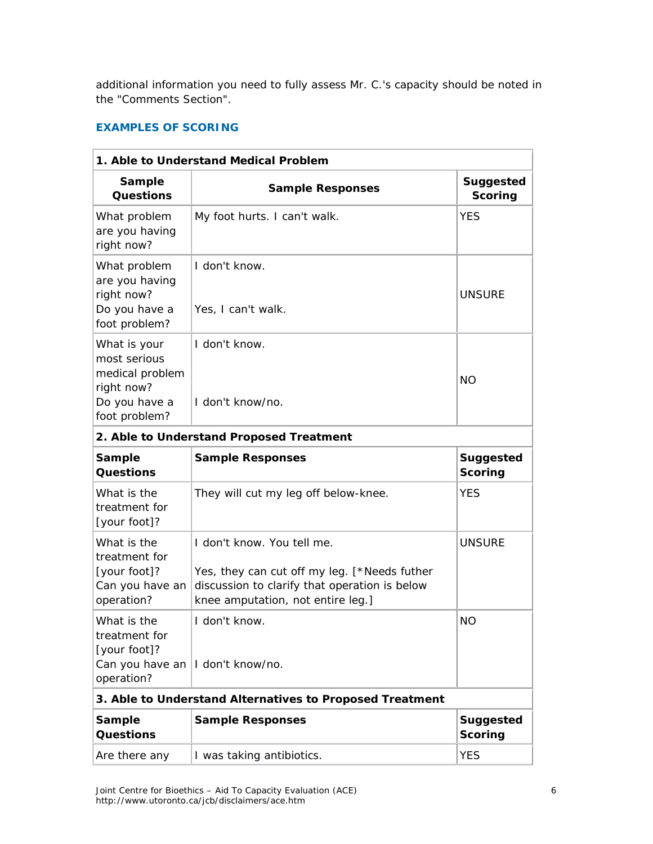additional information you need to fully assess Mr. C.'s capacity should be noted in the "Comments Section".

#### **EXAMPLES OF SCORING**

| 1. Able to Understand Medical Problem                                                           |                                                                                                                                                                  |                                    |
|-------------------------------------------------------------------------------------------------|------------------------------------------------------------------------------------------------------------------------------------------------------------------|------------------------------------|
| Sample<br><b>Questions</b>                                                                      | <b>Sample Responses</b>                                                                                                                                          | <b>Suggested</b><br><b>Scoring</b> |
| What problem<br>are you having<br>right now?                                                    | My foot hurts. I can't walk.                                                                                                                                     | <b>YES</b>                         |
| What problem<br>are you having<br>right now?<br>Do you have a<br>foot problem?                  | I don't know.<br>Yes, I can't walk.                                                                                                                              | <b>UNSURE</b>                      |
| What is your<br>most serious<br>medical problem<br>right now?<br>Do you have a<br>foot problem? | I don't know.<br>I don't know/no.                                                                                                                                | <b>NO</b>                          |
| 2. Able to Understand Proposed Treatment                                                        |                                                                                                                                                                  |                                    |
| Sample<br>Questions                                                                             | <b>Sample Responses</b>                                                                                                                                          | <b>Suggested</b><br><b>Scoring</b> |
| What is the<br>treatment for<br>[your foot]?                                                    | They will cut my leg off below-knee.                                                                                                                             | <b>YES</b>                         |
| What is the<br>treatment for<br>[your foot]?<br>Can you have an<br>operation?                   | I don't know. You tell me.<br>Yes, they can cut off my leg. [*Needs futher<br>discussion to clarify that operation is below<br>knee amputation, not entire leg.] | <b>UNSURE</b>                      |
| What is the<br>treatment for<br>[your foot]?<br>Can you have an $ $<br>operation?               | I don't know.<br>I don't know/no.                                                                                                                                | <b>NO</b>                          |
| 3. Able to Understand Alternatives to Proposed Treatment                                        |                                                                                                                                                                  |                                    |
| <b>Sample</b><br><b>Questions</b>                                                               | <b>Sample Responses</b>                                                                                                                                          | <b>Suggested</b><br>Scoring        |
| Are there any                                                                                   | I was taking antibiotics.                                                                                                                                        | <b>YES</b>                         |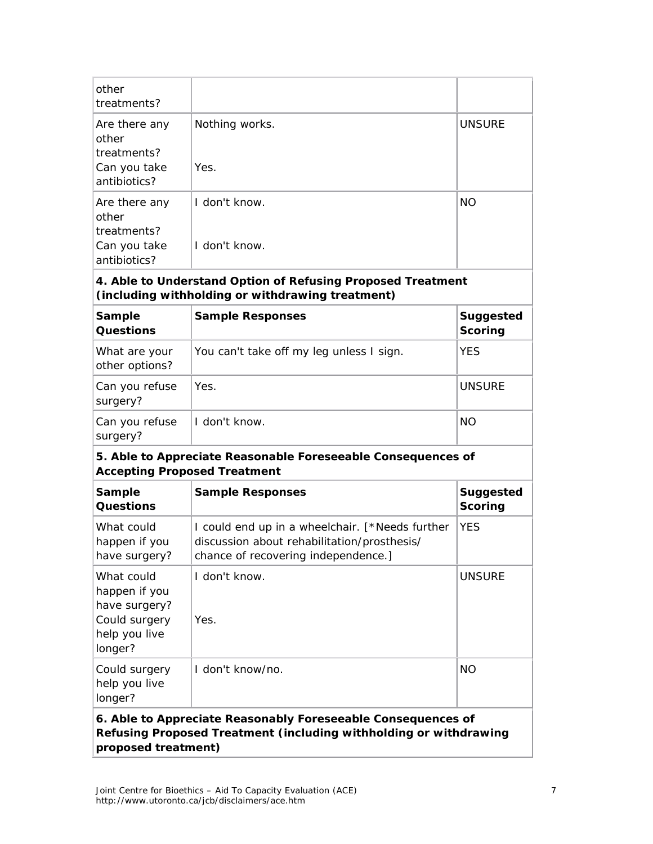| other<br>treatments?                                                                      |                                                                                                                                       |                             |
|-------------------------------------------------------------------------------------------|---------------------------------------------------------------------------------------------------------------------------------------|-----------------------------|
| Are there any<br>other<br>treatments?<br>Can you take<br>antibiotics?                     | Nothing works.<br>Yes.                                                                                                                | <b>UNSURE</b>               |
| Are there any<br>other<br>treatments?<br>Can you take<br>antibiotics?                     | I don't know.<br>I don't know.                                                                                                        | <b>NO</b>                   |
|                                                                                           | 4. Able to Understand Option of Refusing Proposed Treatment<br>(including withholding or withdrawing treatment)                       |                             |
| Sample<br>Questions                                                                       | <b>Sample Responses</b>                                                                                                               | <b>Suggested</b><br>Scoring |
| What are your<br>other options?                                                           | You can't take off my leg unless I sign.                                                                                              | <b>YES</b>                  |
| Can you refuse<br>surgery?                                                                | Yes.                                                                                                                                  | <b>UNSURE</b>               |
| Can you refuse<br>surgery?                                                                | I don't know.                                                                                                                         | <b>NO</b>                   |
| <b>Accepting Proposed Treatment</b>                                                       | 5. Able to Appreciate Reasonable Foreseeable Consequences of                                                                          |                             |
| Sample<br><b>Questions</b>                                                                | <b>Sample Responses</b>                                                                                                               | <b>Suggested</b><br>Scoring |
| What could<br>happen if you<br>have surgery?                                              | I could end up in a wheelchair. [*Needs further<br>discussion about rehabilitation/prosthesis/<br>chance of recovering independence.] | <b>YES</b>                  |
| What could<br>happen if you<br>have surgery?<br>Could surgery<br>help you live<br>longer? | I don't know.<br>Yes.                                                                                                                 | <b>UNSURE</b>               |
| Could surgery<br>help you live<br>longer?                                                 | I don't know/no.                                                                                                                      | <b>NO</b>                   |
|                                                                                           | 6. Able to Appreciate Reasonably Foreseeable Consequences of<br>Refusing Proposed Treatment (including withholding or withdrawing     |                             |

**proposed treatment)**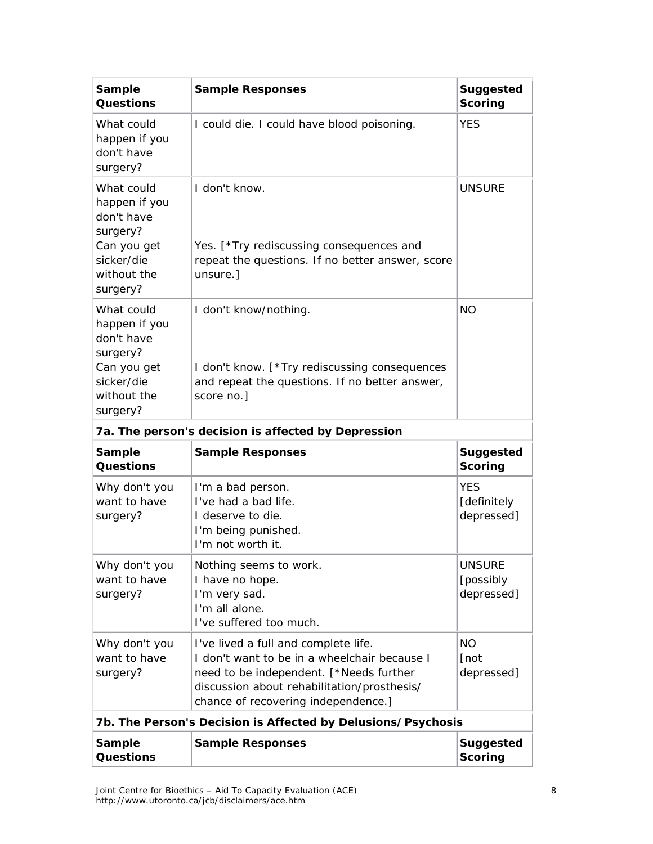| Sample<br><b>Questions</b>                                                                                    | <b>Sample Responses</b>                                                                                                                                                                                               | <b>Suggested</b><br>Scoring              |
|---------------------------------------------------------------------------------------------------------------|-----------------------------------------------------------------------------------------------------------------------------------------------------------------------------------------------------------------------|------------------------------------------|
| What could<br>happen if you<br>don't have<br>surgery?                                                         | I could die. I could have blood poisoning.                                                                                                                                                                            | <b>YES</b>                               |
| What could<br>happen if you<br>don't have<br>surgery?<br>Can you get<br>sicker/die<br>without the<br>surgery? | I don't know.<br>Yes. [*Try rediscussing consequences and<br>repeat the questions. If no better answer, score<br>unsure.]                                                                                             | <b>UNSURE</b>                            |
| What could<br>happen if you<br>don't have<br>surgery?<br>Can you get<br>sicker/die<br>without the<br>surgery? | I don't know/nothing.<br>I don't know. [*Try rediscussing consequences<br>and repeat the questions. If no better answer,<br>score no.]                                                                                | <b>NO</b>                                |
|                                                                                                               | 7a. The person's decision is affected by Depression                                                                                                                                                                   |                                          |
| Sample<br><b>Questions</b>                                                                                    | <b>Sample Responses</b>                                                                                                                                                                                               | <b>Suggested</b><br>Scoring              |
| Why don't you<br>want to have<br>surgery?                                                                     | I'm a bad person.<br>I've had a bad life.<br>I deserve to die.<br>I'm being punished.<br>I'm not worth it.                                                                                                            | <b>YES</b><br>[definitely<br>depressed]  |
| Why don't you<br>want to have<br>surgery?                                                                     | Nothing seems to work.<br>I have no hope.<br>I'm very sad.<br>I'm all alone.<br>I've suffered too much.                                                                                                               | <b>UNSURE</b><br>[possibly<br>depressed] |
| Why don't you<br>want to have<br>surgery?                                                                     | I've lived a full and complete life.<br>I don't want to be in a wheelchair because I<br>need to be independent. [*Needs further<br>discussion about rehabilitation/prosthesis/<br>chance of recovering independence.] | <b>NO</b><br>[not<br>depressed]          |
| 7b. The Person's Decision is Affected by Delusions/Psychosis                                                  |                                                                                                                                                                                                                       |                                          |
| Sample<br><b>Questions</b>                                                                                    | <b>Sample Responses</b>                                                                                                                                                                                               | <b>Suggested</b><br><b>Scoring</b>       |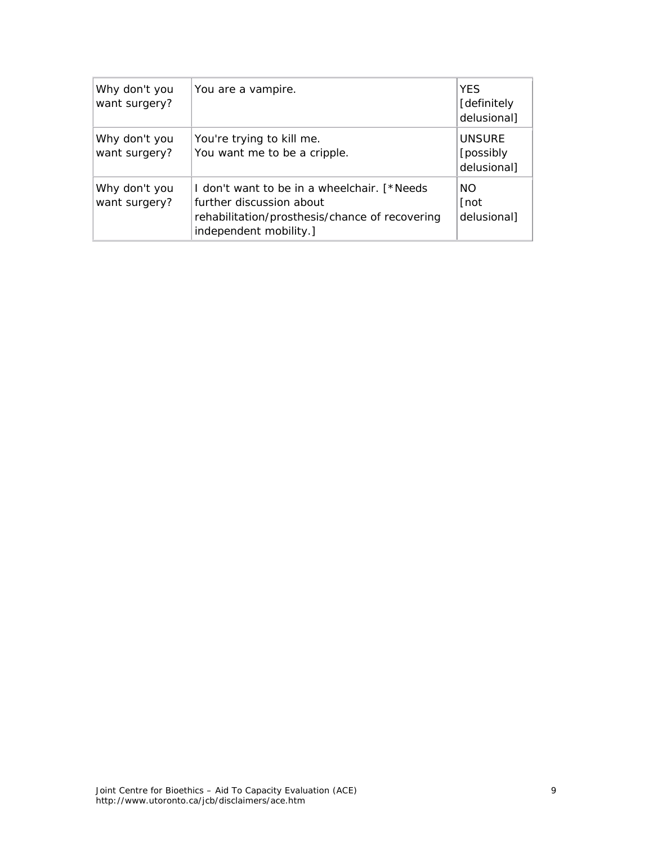| Why don't you<br>want surgery? | You are a vampire.                                                                                                                                  | <b>YFS</b><br>[definitely<br>delusional] |
|--------------------------------|-----------------------------------------------------------------------------------------------------------------------------------------------------|------------------------------------------|
| Why don't you<br>want surgery? | You're trying to kill me.<br>You want me to be a cripple.                                                                                           | UNSURF<br>[possibly<br>delusional]       |
| Why don't you<br>want surgery? | I don't want to be in a wheelchair. [*Needs<br>further discussion about<br>rehabilitation/prosthesis/chance of recovering<br>independent mobility.] | NO.<br>[not]<br>delusional]              |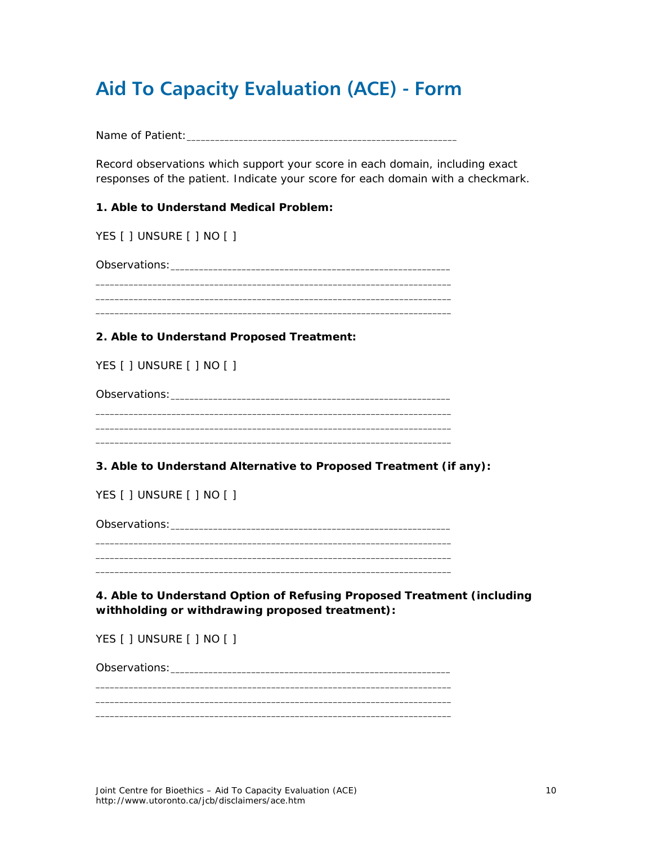# **Aid To Capacity Evaluation (ACE) - Form**

Name of Patient:\_\_\_\_\_\_\_\_\_\_\_\_\_\_\_\_\_\_\_\_\_\_\_\_\_\_\_\_\_\_\_\_\_\_\_\_\_\_\_\_\_\_\_\_\_\_\_\_\_\_\_\_\_\_\_\_\_

Record observations which support your score in each domain, including exact responses of the patient. Indicate your score for each domain with a checkmark.

#### **1. Able to Understand Medical Problem:**

| YES [ ] UNSURE [ ] NO [ ]                                                                                                 |  |
|---------------------------------------------------------------------------------------------------------------------------|--|
|                                                                                                                           |  |
|                                                                                                                           |  |
|                                                                                                                           |  |
| 2. Able to Understand Proposed Treatment:                                                                                 |  |
| YES [ ] UNSURE [ ] NO [ ]                                                                                                 |  |
|                                                                                                                           |  |
|                                                                                                                           |  |
|                                                                                                                           |  |
| 3. Able to Understand Alternative to Proposed Treatment (if any):                                                         |  |
|                                                                                                                           |  |
| YES [ ] UNSURE [ ] NO [ ]                                                                                                 |  |
|                                                                                                                           |  |
|                                                                                                                           |  |
|                                                                                                                           |  |
| 4. Able to Understand Option of Refusing Proposed Treatment (including<br>withholding or withdrawing proposed treatment): |  |
| YES [ ] UNSURE [ ] NO [ ]                                                                                                 |  |
|                                                                                                                           |  |

\_\_\_\_\_\_\_\_\_\_\_\_\_\_\_\_\_\_\_\_\_\_\_\_\_\_\_\_\_\_\_\_\_\_\_\_\_\_\_\_\_\_\_\_\_\_\_\_\_\_\_\_\_\_\_\_\_\_\_\_\_\_\_\_\_\_\_\_\_\_\_\_\_\_\_ \_\_\_\_\_\_\_\_\_\_\_\_\_\_\_\_\_\_\_\_\_\_\_\_\_\_\_\_\_\_\_\_\_\_\_\_\_\_\_\_\_\_\_\_\_\_\_\_\_\_\_\_\_\_\_\_\_\_\_\_\_\_\_\_\_\_\_\_\_\_\_\_\_\_\_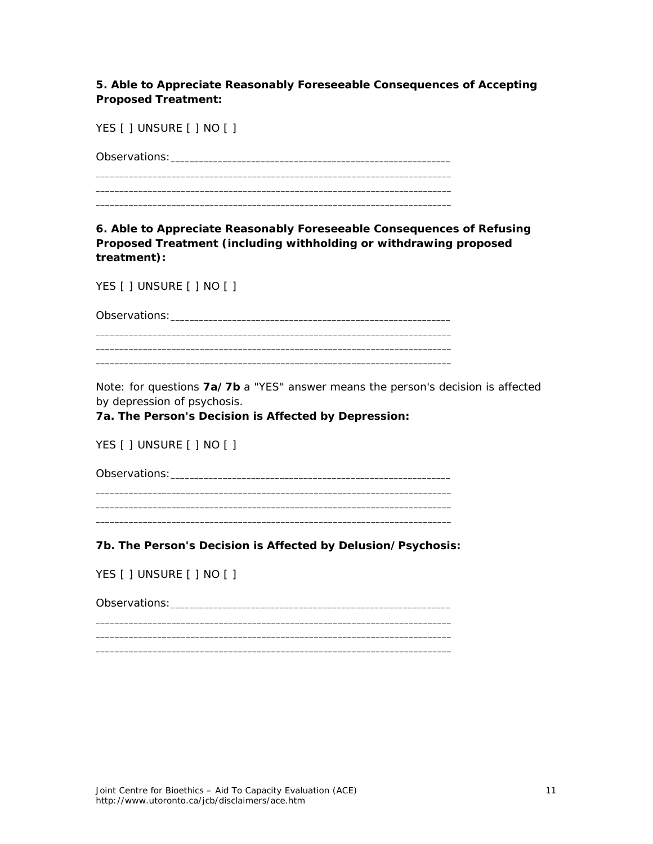### **5. Able to Appreciate Reasonably Foreseeable Consequences of Accepting Proposed Treatment:**

YES [ ] UNSURE [ ] NO [ ]

Observations:\_\_\_\_\_\_\_\_\_\_\_\_\_\_\_\_\_\_\_\_\_\_\_\_\_\_\_\_\_\_\_\_\_\_\_\_\_\_\_\_\_\_\_\_\_\_\_\_\_\_\_\_\_\_\_\_\_\_\_

**6. Able to Appreciate Reasonably Foreseeable Consequences of Refusing Proposed Treatment (including withholding or withdrawing proposed treatment):**

\_\_\_\_\_\_\_\_\_\_\_\_\_\_\_\_\_\_\_\_\_\_\_\_\_\_\_\_\_\_\_\_\_\_\_\_\_\_\_\_\_\_\_\_\_\_\_\_\_\_\_\_\_\_\_\_\_\_\_\_\_\_\_\_\_\_\_\_\_\_\_\_\_\_\_ \_\_\_\_\_\_\_\_\_\_\_\_\_\_\_\_\_\_\_\_\_\_\_\_\_\_\_\_\_\_\_\_\_\_\_\_\_\_\_\_\_\_\_\_\_\_\_\_\_\_\_\_\_\_\_\_\_\_\_\_\_\_\_\_\_\_\_\_\_\_\_\_\_\_\_ \_\_\_\_\_\_\_\_\_\_\_\_\_\_\_\_\_\_\_\_\_\_\_\_\_\_\_\_\_\_\_\_\_\_\_\_\_\_\_\_\_\_\_\_\_\_\_\_\_\_\_\_\_\_\_\_\_\_\_\_\_\_\_\_\_\_\_\_\_\_\_\_\_\_\_

\_\_\_\_\_\_\_\_\_\_\_\_\_\_\_\_\_\_\_\_\_\_\_\_\_\_\_\_\_\_\_\_\_\_\_\_\_\_\_\_\_\_\_\_\_\_\_\_\_\_\_\_\_\_\_\_\_\_\_\_\_\_\_\_\_\_\_\_\_\_\_\_\_\_\_ \_\_\_\_\_\_\_\_\_\_\_\_\_\_\_\_\_\_\_\_\_\_\_\_\_\_\_\_\_\_\_\_\_\_\_\_\_\_\_\_\_\_\_\_\_\_\_\_\_\_\_\_\_\_\_\_\_\_\_\_\_\_\_\_\_\_\_\_\_\_\_\_\_\_\_ \_\_\_\_\_\_\_\_\_\_\_\_\_\_\_\_\_\_\_\_\_\_\_\_\_\_\_\_\_\_\_\_\_\_\_\_\_\_\_\_\_\_\_\_\_\_\_\_\_\_\_\_\_\_\_\_\_\_\_\_\_\_\_\_\_\_\_\_\_\_\_\_\_\_\_

YES [ ] UNSURE [ ] NO [ ]

Observations:\_\_\_\_\_\_\_\_\_\_\_\_\_\_\_\_\_\_\_\_\_\_\_\_\_\_\_\_\_\_\_\_\_\_\_\_\_\_\_\_\_\_\_\_\_\_\_\_\_\_\_\_\_\_\_\_\_\_\_

*Note: for questions 7a/7b a "YES" answer means the person's decision is affected by depression of psychosis.*

**7a. The Person's Decision is Affected by Depression:**

YES [ ] UNSURE [ ] NO [ ]

Observations:\_\_\_\_\_\_\_\_\_\_\_\_\_\_\_\_\_\_\_\_\_\_\_\_\_\_\_\_\_\_\_\_\_\_\_\_\_\_\_\_\_\_\_\_\_\_\_\_\_\_\_\_\_\_\_\_\_\_\_

**7b. The Person's Decision is Affected by Delusion/Psychosis:**

\_\_\_\_\_\_\_\_\_\_\_\_\_\_\_\_\_\_\_\_\_\_\_\_\_\_\_\_\_\_\_\_\_\_\_\_\_\_\_\_\_\_\_\_\_\_\_\_\_\_\_\_\_\_\_\_\_\_\_\_\_\_\_\_\_\_\_\_\_\_\_\_\_\_\_ \_\_\_\_\_\_\_\_\_\_\_\_\_\_\_\_\_\_\_\_\_\_\_\_\_\_\_\_\_\_\_\_\_\_\_\_\_\_\_\_\_\_\_\_\_\_\_\_\_\_\_\_\_\_\_\_\_\_\_\_\_\_\_\_\_\_\_\_\_\_\_\_\_\_\_ \_\_\_\_\_\_\_\_\_\_\_\_\_\_\_\_\_\_\_\_\_\_\_\_\_\_\_\_\_\_\_\_\_\_\_\_\_\_\_\_\_\_\_\_\_\_\_\_\_\_\_\_\_\_\_\_\_\_\_\_\_\_\_\_\_\_\_\_\_\_\_\_\_\_\_

\_\_\_\_\_\_\_\_\_\_\_\_\_\_\_\_\_\_\_\_\_\_\_\_\_\_\_\_\_\_\_\_\_\_\_\_\_\_\_\_\_\_\_\_\_\_\_\_\_\_\_\_\_\_\_\_\_\_\_\_\_\_\_\_\_\_\_\_\_\_\_\_\_\_\_ \_\_\_\_\_\_\_\_\_\_\_\_\_\_\_\_\_\_\_\_\_\_\_\_\_\_\_\_\_\_\_\_\_\_\_\_\_\_\_\_\_\_\_\_\_\_\_\_\_\_\_\_\_\_\_\_\_\_\_\_\_\_\_\_\_\_\_\_\_\_\_\_\_\_\_ \_\_\_\_\_\_\_\_\_\_\_\_\_\_\_\_\_\_\_\_\_\_\_\_\_\_\_\_\_\_\_\_\_\_\_\_\_\_\_\_\_\_\_\_\_\_\_\_\_\_\_\_\_\_\_\_\_\_\_\_\_\_\_\_\_\_\_\_\_\_\_\_\_\_\_

YES [ ] UNSURE [ ] NO [ ]

Observations:\_\_\_\_\_\_\_\_\_\_\_\_\_\_\_\_\_\_\_\_\_\_\_\_\_\_\_\_\_\_\_\_\_\_\_\_\_\_\_\_\_\_\_\_\_\_\_\_\_\_\_\_\_\_\_\_\_\_\_